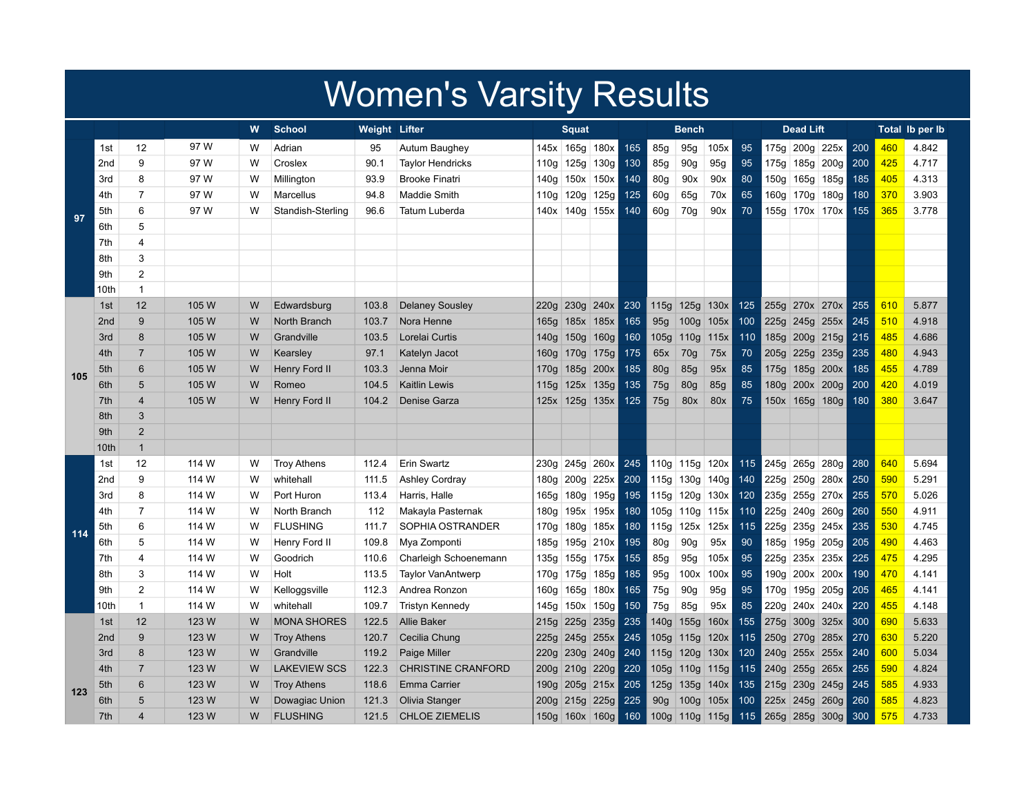## Women's Varsity Results

|     |                 |                |       | W | <b>School</b>       | <b>Weight Lifter</b> |                           | <b>Squat</b> |                      |                  | <b>Bench</b> |                  |                  |      | <b>Dead Lift</b> |                |                |                  | Total Ib per Ib |     |       |
|-----|-----------------|----------------|-------|---|---------------------|----------------------|---------------------------|--------------|----------------------|------------------|--------------|------------------|------------------|------|------------------|----------------|----------------|------------------|-----------------|-----|-------|
|     | 1st             | 12             | 97 W  | W | Adrian              | 95                   | Autum Baughey             |              | 145x 165g 180x       |                  | 165          | 85g              | 95g              | 105x | 95               |                | 175g 200g 225x |                  | 200             | 460 | 4.842 |
|     | 2 <sub>nd</sub> | 9              | 97 W  | W | Croslex             | 90.1                 | <b>Taylor Hendricks</b>   |              | 110g 125g 130g       |                  | 130          | 85g              | 90 <sub>g</sub>  | 95g  | 95               |                |                | 175g 185g 200g   | 200             | 425 | 4.717 |
|     | 3rd             | 8              | 97 W  | W | Millington          | 93.9                 | <b>Brooke Finatri</b>     |              | 140g 150x 150x       |                  | 140          | 80g              | 90x              | 90x  | 80               |                | 150g 165g 185g |                  | 185             | 405 | 4.313 |
|     | 4th             | $\overline{7}$ | 97 W  | W | Marcellus           | 94.8                 | Maddie Smith              |              | 110g 120g 125g       |                  | 125          | 60g              | 65g              | 70x  | 65               |                | 160g 170g 180g |                  | 180             | 370 | 3.903 |
| 97  | 5th             | 6              | 97 W  | W | Standish-Sterling   | 96.6                 | Tatum Luberda             |              | 140x 140g 155x       |                  | 140          | 60 <sub>g</sub>  | 70g              | 90x  | 70               |                | 155g 170x 170x |                  | 155             | 365 | 3.778 |
|     | 6th             | 5              |       |   |                     |                      |                           |              |                      |                  |              |                  |                  |      |                  |                |                |                  |                 |     |       |
|     | 7th             | 4              |       |   |                     |                      |                           |              |                      |                  |              |                  |                  |      |                  |                |                |                  |                 |     |       |
|     | 8th             | 3              |       |   |                     |                      |                           |              |                      |                  |              |                  |                  |      |                  |                |                |                  |                 |     |       |
|     | 9th             | $\overline{2}$ |       |   |                     |                      |                           |              |                      |                  |              |                  |                  |      |                  |                |                |                  |                 |     |       |
|     | 10th            | $\mathbf{1}$   |       |   |                     |                      |                           |              |                      |                  |              |                  |                  |      |                  |                |                |                  |                 |     |       |
|     | 1st             | 12             | 105 W | W | Edwardsburg         | 103.8                | <b>Delaney Sousley</b>    | 220q         | 230g 240x            |                  | 230          | 115g             | 125g             | 130x | 125              |                | 255g 270x 270x |                  | 255             | 610 | 5.877 |
|     | 2 <sub>nd</sub> | 9              | 105 W | W | North Branch        | 103.7                | Nora Henne                |              | 165g 185x 185x       |                  | 165          | 95g              | 100 <sub>g</sub> | 105x | 100              |                | 225g 245g 255x |                  | 245             | 510 | 4.918 |
|     | 3rd             | 8              | 105 W | W | Grandville          | 103.5                | Lorelai Curtis            |              | 140g 150g            | 160 <sub>g</sub> | 160          | 105g             | 110g             | 115x | 110              |                | 185g 200g 215g |                  | 215             | 485 | 4.686 |
|     | 4th             | $\overline{7}$ | 105 W | W | Kearsley            | 97.1                 | Katelyn Jacot             |              | 160g 170g 175g       |                  | 175          | 65x              | 70 <sub>g</sub>  | 75x  | 70               | 205g 225g      |                | 235g             | 235             | 480 | 4.943 |
| 105 | 5th             | 6              | 105 W | W | Henry Ford II       | 103.3                | Jenna Moir                |              | 170g 185g 200x       |                  | 185          | 80g              | 85g              | 95x  | 85               |                | 175g 185g      | 200x             | 185             | 455 | 4.789 |
|     | 6th             | 5              | 105 W | W | Romeo               | 104.5                | <b>Kaitlin Lewis</b>      |              | 115g 125x 135g       |                  | 135          | 75g              | 80g              | 85g  | 85               |                | 180g 200x 200g |                  | 200             | 420 | 4.019 |
|     | 7th             | $\overline{4}$ | 105 W | W | Henry Ford II       | 104.2                | Denise Garza              |              | $125x$   125g   135x |                  | 125          | 75g              | 80x              | 80x  | 75               |                | 150x 165g 180g |                  | 180             | 380 | 3.647 |
|     | 8th             | 3              |       |   |                     |                      |                           |              |                      |                  |              |                  |                  |      |                  |                |                |                  |                 |     |       |
|     | 9th             | $\overline{2}$ |       |   |                     |                      |                           |              |                      |                  |              |                  |                  |      |                  |                |                |                  |                 |     |       |
|     | 10th            | $\mathbf{1}$   |       |   |                     |                      |                           |              |                      |                  |              |                  |                  |      |                  |                |                |                  |                 |     |       |
|     | 1st             | 12             | 114 W | W | Troy Athens         | 112.4                | Erin Swartz               | 230g         | 245g 260x            |                  | 245          |                  | 110g 115g        | 120x | 115              |                | 245g 265g      | 280g             | 280             | 640 | 5.694 |
|     | 2nd             | 9              | 114 W | W | whitehall           | 111.5                | <b>Ashley Cordray</b>     |              | 180g 200g 225x       |                  | 200          |                  | 115g 130g        | 140g | 140              |                | 225g 250g 280x |                  | 250             | 590 | 5.291 |
|     | 3rd             | 8              | 114 W | W | Port Huron          | 113.4                | Harris, Halle             | 165g         | 180g 195g            |                  | 195          |                  | 115g 120g 130x   |      | 120              |                | 235g 255g 270x |                  | 255             | 570 | 5.026 |
|     | 4th             | $\overline{7}$ | 114 W | W | North Branch        | 112                  | Makayla Pasternak         | 180g         | 195x 195x            |                  | 180          |                  | 105g 110g 115x   |      | 110              |                | 225g 240g      | 260g             | 260             | 550 | 4.911 |
| 114 | 5th             | 6              | 114 W | W | <b>FLUSHING</b>     | 111.7                | SOPHIA OSTRANDER          | 170g         | 180g 185x            |                  | 180          | 115g             | 125x             | 125x | 115              |                | 225g 235g 245x |                  | 235             | 530 | 4.745 |
|     | 6th             | 5              | 114 W | W | Henry Ford II       | 109.8                | Mya Zomponti              | 185g         | 195g 210x            |                  | 195          | 80 <sub>g</sub>  | 90g              | 95x  | 90               |                | 185g 195g      | 205g             | 205             | 490 | 4.463 |
|     | 7th             | 4              | 114 W | W | Goodrich            | 110.6                | Charleigh Schoenemann     | 135g         | 155g 175x            |                  | 155          | 85g              | 95g              | 105x | 95               |                | 225g 235x 235x |                  | 225             | 475 | 4.295 |
|     | 8th             | 3              | 114 W | W | Holt                | 113.5                | <b>Taylor VanAntwerp</b>  |              | 170g   175g   185g   |                  | 185          | 95g              | 100x             | 100x | 95               |                | 190g 200x 200x |                  | 190             | 470 | 4.141 |
|     | 9th             | $\overline{2}$ | 114 W | W | Kelloggsville       | 112.3                | Andrea Ronzon             |              | 160g 165g 180x       |                  | 165          | 75g              | 90g              | 95g  | 95               |                | 170g 195g 205g |                  | 205             | 465 | 4.141 |
|     | 10th            | $\mathbf{1}$   | 114 W | W | whitehall           | 109.7                | <b>Tristyn Kennedy</b>    |              | 145g 150x 150g       |                  | 150          | 75g              | 85g              | 95x  | 85               |                | 220g 240x 240x |                  | 220             | 455 | 4.148 |
|     | 1st             | 12             | 123 W | W | <b>MONA SHORES</b>  | 122.5                | <b>Allie Baker</b>        |              | 215g 225g 235g       |                  | 235          | 140g             | 155g             | 160x | 155              | 275g 300g 325x |                |                  | 300             | 690 | 5.633 |
|     | 2 <sub>nd</sub> | 9              | 123 W | W | <b>Troy Athens</b>  | 120.7                | Cecilia Chung             |              | 225g 245g 255x       |                  | 245          | 105g             | 115g             | 120x | 115              | 250g 270g      |                | 285x             | 270             | 630 | 5.220 |
|     | 3rd             | $\bf 8$        | 123 W | W | Grandville          | 119.2                | Paige Miller              |              | 220g 230g 240g       |                  | 240          | 115g             | 120g             | 130x | 120              |                | 240g 255x 255x |                  | 240             | 600 | 5.034 |
|     | 4th             | $\overline{7}$ | 123 W | W | <b>LAKEVIEW SCS</b> | 122.3                | <b>CHRISTINE CRANFORD</b> |              | 200g 210g 220g       |                  | 220          | 105g             | 110 <sub>g</sub> | 115g | 115              | 240g 255g      |                | 265x             | 255             | 590 | 4.824 |
| 123 | 5th             | 6              | 123 W | W | <b>Troy Athens</b>  | 118.6                | <b>Emma Carrier</b>       |              | 190g 205g 215x       |                  | 205          | 125g             | 135g             | 140x | 135              | 215g 230g      |                | 245g             | 245             | 585 | 4.933 |
|     | 6th             | 5              | 123 W | W | Dowagiac Union      | 121.3                | Olivia Stanger            |              | 200g 215g 225g       |                  | 225          | 90 <sub>g</sub>  | 100q             | 105x | 100              | 225x 245g      |                | 260g             | 260             | 585 | 4.823 |
|     | 7th             | $\overline{4}$ | 123 W | W | <b>FLUSHING</b>     | 121.5                | <b>CHLOE ZIEMELIS</b>     |              | 150g 160x 160g       |                  | 160          | 100 <sub>g</sub> | 110g   115g      |      | 115              | 265g 285g      |                | 300 <sub>g</sub> | 300             | 575 | 4.733 |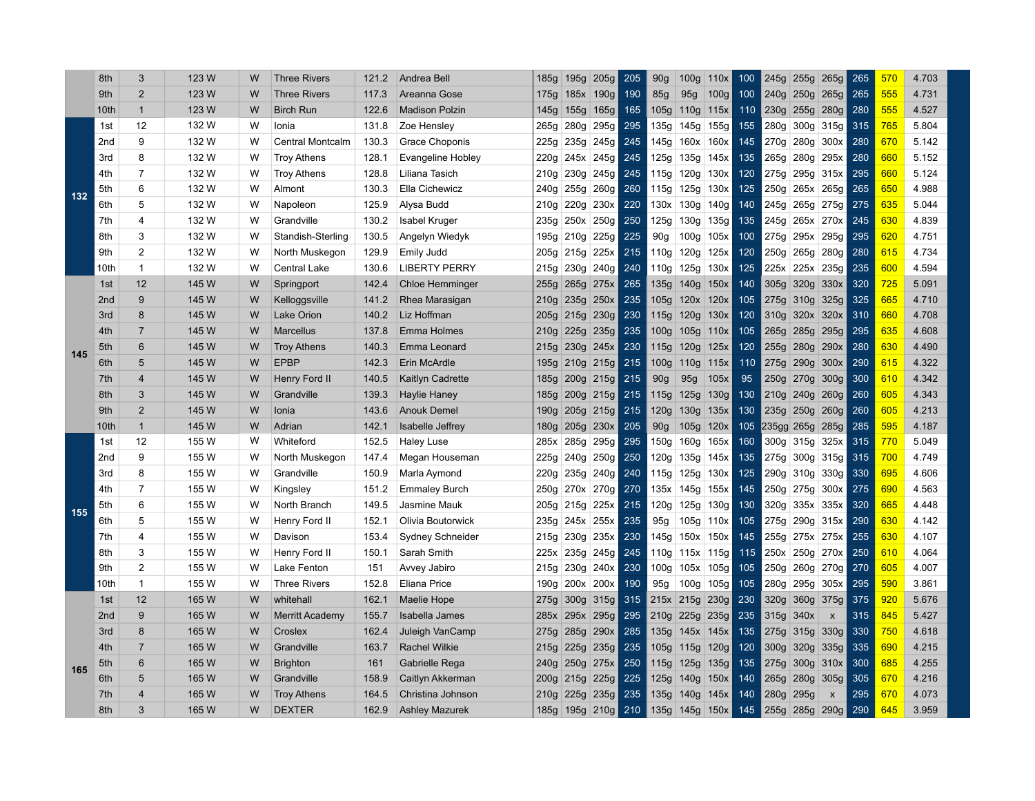|     | 8th             | 3                       | 123 W | W | <b>Three Rivers</b>    | 121.2 | Andrea Bell            | 185g             | 195g           | 205g           | 205   | 90 <sub>g</sub> | 100 <sub>g</sub> | 110x | 100 | 245g            | 255g | 265g                      | 265 | 57C             | 4.703 |
|-----|-----------------|-------------------------|-------|---|------------------------|-------|------------------------|------------------|----------------|----------------|-------|-----------------|------------------|------|-----|-----------------|------|---------------------------|-----|-----------------|-------|
|     | 9th             | $\overline{2}$          | 123 W | W | <b>Three Rivers</b>    | 117.3 | Areanna Gose           |                  | 175g 185x 190g |                | 190   | 85g             | 95g              | 100g | 100 | 240g            | 250g | 265g                      | 265 | 555             | 4.731 |
|     | 10th            | $\mathbf{1}$            | 123 W | W | <b>Birch Run</b>       | 122.6 | <b>Madison Polzin</b>  | 145g             | 155g           | 165g           | 165   | 105g            | 110g 115x        |      | 110 | 230g            |      | 255g 280g                 | 280 | 555             | 4.527 |
|     | 1st             | 12                      | 132 W | W | Ionia                  | 131.8 | Zoe Hensley            | 265g             | 280g           | 295g           | 295   | 135g            | 145g             | 155g | 155 | 280g            | 300g | 315g                      | 315 | 765             | 5.804 |
|     | 2 <sub>nd</sub> | 9                       | 132 W | W | Central Montcalm       | 130.3 | Grace Choponis         | 225g             | 235g           | 245g           | 245   | 145g            | 160x             | 160x | 145 | 270g            | 280g | 300x                      | 280 | 67 <sub>C</sub> | 5.142 |
|     | 3rd             | 8                       | 132 W | w | <b>Troy Athens</b>     | 128.1 | Evangeline Hobley      | 220g             |                | 245x 245g      | 245   | 125g            | 135g             | 145x | 135 | 265g            | 280g | 295x                      | 280 | <b>660</b>      | 5.152 |
|     | 4th             | $\overline{7}$          | 132 W | W | <b>Troy Athens</b>     | 128.8 | Liliana Tasich         | 210g             | 230g           | 245g           | 245   | 115g            | 120g             | 130x | 120 | 275g            | 295g | 315x                      | 295 | <b>660</b>      | 5.124 |
| 132 | 5th             | 6                       | 132 W | W | Almont                 | 130.3 | Ella Cichewicz         |                  |                | 240g 255g 260g | 260   | 115g            | 125g             | 130x | 125 | 250g            |      | 265x 265g                 | 265 | 650             | 4.988 |
|     | 6th             | 5                       | 132 W | w | Napoleon               | 125.9 | Alysa Budd             | 210g             | 220g 230x      |                | 220   | 130x            | 130g             | 140g | 140 | 245g            |      | 265g 275g                 | 275 | 635             | 5.044 |
|     | 7th             | 4                       | 132 W | w | Grandville             | 130.2 | Isabel Kruger          | 235g             | 250x           | 250g           | 250   | 125g            | 130g             | 135g | 135 | 245g            | 265x | 270x                      | 245 | 630             | 4.839 |
|     | 8th             | 3                       | 132 W | w | Standish-Sterling      | 130.5 | Angelyn Wiedyk         | 195g             | 210g           | 225g           | 225   | 90g             | 100g             | 105x | 100 | 275g            | 295x | 295g                      | 295 | 620             | 4.751 |
|     | 9th             | $\overline{2}$          | 132 W | w | North Muskegon         | 129.9 | Emily Judd             |                  | 205g 215g      | 225x           | 215   | 110g            | 120g             | 125x | 120 | 250g            | 265g | 280g                      | 280 | 615             | 4.734 |
|     | 10th            | $\mathbf{1}$            | 132 W | W | Central Lake           | 130.6 | <b>LIBERTY PERRY</b>   | 215g             | 230g           | 240g           | 240   | 110g            | 125g 130x        |      | 125 | 225x            | 225x | 235g                      | 235 | 60C             | 4.594 |
|     | 1st             | 12                      | 145 W | W | Springport             | 142.4 | <b>Chloe Hemminger</b> | 255g             |                | 265g 275x      | 265   | 135g            | 140g             | 150x | 140 | 305g            | 320g | 330x                      | 320 | 725             | 5.091 |
|     | 2 <sub>nd</sub> | 9                       | 145 W | W | Kelloggsville          | 141.2 | Rhea Marasigan         | 210g             |                | 235g 250x      | 235   | 105g            | 120x 120x        |      | 105 | 275g            |      | $310g$ 325g               | 325 | 665             | 4.710 |
| 145 | 3rd             | 8                       | 145 W | W | Lake Orion             | 140.2 | Liz Hoffman            | 205g             |                | 215g 230g      | 230   | 115g            | 120g             | 130x | 120 | 310g            |      | 320x 320x                 | 310 | 660             | 4.708 |
|     | 4th             | $\overline{7}$          | 145 W | W | <b>Marcellus</b>       | 137.8 | Emma Holmes            | 210g             | 225g           | 235g           | 235   | 100g            | 105g             | 110x | 105 | 265g            | 285g | 295g                      | 295 | 635             | 4.608 |
|     | 5th             | $6\phantom{1}$          | 145 W | W | <b>Troy Athens</b>     | 140.3 | Emma Leonard           |                  | 215g 230g      | 245x           | 230   | 115g            | 120g             | 125x | 120 | 255g            | 280g | 290x                      | 280 | 630             | 4.490 |
|     | 6th             | 5                       | 145 W | W | <b>EPBP</b>            | 142.3 | Erin McArdle           |                  | 195g 210g      | 215g           | $215$ | 100g            | 110 <sub>g</sub> | 115x | 110 | 275g            | 290g | 300x                      | 290 | 615             | 4.322 |
|     | 7th             | 4                       | 145 W | W | Henry Ford II          | 140.5 | Kaitlyn Cadrette       |                  |                | 185g 200g 215g | 215   | 90 <sub>g</sub> | 95g              | 105x | 95  | 250g            |      | 270g 300g                 | 300 | 61 <sub>C</sub> | 4.342 |
|     | 8th             | 3                       | 145 W | W | Grandville             | 139.3 | Haylie Haney           |                  |                | 185g 200g 215g | 215   | 115g            | 125g             | 130g | 130 | 210g            | 240g | 260g                      | 260 | 605             | 4.343 |
|     | 9th             | $\overline{2}$          | 145 W | W | Ionia                  | 143.6 | <b>Anouk Demel</b>     | 190g             |                | 205g 215g      | 215   | 120g            | 130g             | 135x | 130 | 235g            | 250g | 260g                      | 260 | 605             | 4.213 |
|     | 10th            | $\mathbf{1}$            | 145 W | W | Adrian                 | 142.1 | Isabelle Jeffrey       |                  |                | 180g 205g 230x | 205   | 90g             | 105g             | 120x | 105 | 235gg 265g 285g |      |                           | 285 | 595             | 4.187 |
|     | 1st             | 12                      | 155 W | W | Whiteford              | 152.5 | <b>Haley Luse</b>      | 285x             | 285g           | 295g           | 295   | 150g            | 160g             | 165x | 160 | 300g            | 315g | 325x                      | 315 | 770             | 5.049 |
|     | 2 <sub>nd</sub> | 9                       | 155 W | W | North Muskegon         | 147.4 | Megan Houseman         | 225g             | 240g           | 250g           | 250   | 120g            | 135g             | 145x | 135 | 275g            |      | 300g 315g                 | 315 | 700             | 4.749 |
|     | 3rd             | 8                       | 155 W | W | Grandville             | 150.9 | Marla Aymond           | 220g             |                | 235g 240g      | 240   | 115g            | 125g 130x        |      | 125 | 290g            |      | 310g 330g                 | 330 | 695             | 4.606 |
|     | 4th             | $\overline{7}$          | 155 W | W | Kingsley               | 151.2 | Emmaley Burch          | 250g             |                | 270x 270g      | 270   | 135x            | 145g             | 155x | 145 | 250g            | 275g | 300x                      | 275 | 690             | 4.563 |
| 155 | 5th             | 6                       | 155 W | w | North Branch           | 149.5 | Jasmine Mauk           |                  | 205g 215g 225x |                | 215   | 120g            | 125g             | 130g | 130 | 320g            | 335x | 335x                      | 320 | 665             | 4.448 |
|     | 6th             | 5                       | 155 W | w | Henry Ford II          | 152.1 | Olivia Boutorwick      |                  |                | 235g 245x 255x | 235   | 95g             | 105g 110x        |      | 105 | 275g            | 290g | 315x                      | 290 | 630             | 4.142 |
|     | 7th             | 4                       | 155 W | W | Davison                | 153.4 | Sydney Schneider       | 215g             | 230g           | 235x           | 230   | 145g            | 150x             | 150x | 145 | 255g            |      | 275x 275x                 | 255 | 630             | 4.107 |
|     | 8th             | 3                       | 155 W | W | Henry Ford II          | 150.1 | Sarah Smith            |                  |                | 225x 235g 245g | 245   | 110g            | 115x 115g        |      | 115 | 250x            | 250g | 270x                      | 250 | 610             | 4.064 |
|     | 9th             | $\overline{2}$          | 155 W | W | Lake Fenton            | 151   | Avvey Jabiro           |                  |                | 215g 230g 240x | 230   | 100g            | 105x 105g        |      | 105 | 250g            |      | 260g 270g                 | 270 | 605             | 4.007 |
|     | 10th            | $\mathbf{1}$            | 155 W | W | <b>Three Rivers</b>    | 152.8 | Eliana Price           | 190g             | 200x 200x      |                | 190   | 95g             | 100g             | 105g | 105 | 280g            | 295g | 305x                      | 295 | 590             | 3.861 |
|     | 1st             | 12                      | 165 W | W | whitehall              | 162.1 | <b>Maelie Hope</b>     |                  |                | 275g 300g 315g | 315   |                 | 215x 215g        | 230g | 230 | 320g            | 360g | 375g                      | 375 | 920             | 5.676 |
|     | 2 <sub>nd</sub> | 9                       | 165 W | W | <b>Merritt Academy</b> | 155.7 | Isabella James         |                  |                | 285x 295x 295g | 295   | 210g            | <b>225g</b>      | 235g | 235 | 315g            | 340x | $\boldsymbol{\mathsf{x}}$ | 315 | 845             | 5.427 |
|     | 3rd             | 8                       | 165 W | W | Croslex                | 162.4 | Juleigh VanCamp        | 275g             | 285g           | 290x           | 285   | 135g            | 145x 145x        |      | 135 | 275g            | 315g | 330g                      | 330 | 750             | 4.618 |
|     | 4th             | $\overline{7}$          | 165 W | W | Grandville             | 163.7 | <b>Rachel Wilkie</b>   | 215g             |                | 225g 235g      | 235   | 105g            | 115g             | 120g | 120 | 300g            |      | 320g 335g                 | 335 | 690             | 4.215 |
| 165 | 5th             | $6\phantom{1}$          | 165 W | W | <b>Brighton</b>        | 161   | Gabrielle Rega         |                  |                | 240g 250g 275x | 250   | 115g            | 125g             | 135g | 135 | 275g            |      | 300g 310x                 | 300 | 685             | 4.255 |
|     | 6th             | 5                       | 165 W | W | Grandville             | 158.9 | Caitlyn Akkerman       | 200 <sub>g</sub> | 215g           | 225g           | 225   | 125g            | 140g             | 150x | 140 | 265g            | 280g | 305g                      | 305 | 670             | 4.216 |
|     | 7th             | $\overline{\mathbf{4}}$ | 165 W | W | <b>Troy Athens</b>     | 164.5 | Christina Johnson      | 210g             | 225g 235g      |                | 235   | 135g            | 140g             | 145x | 140 | 280g            | 295g | $\boldsymbol{\mathsf{x}}$ | 295 | 670             | 4.073 |
|     | 8th             | 3                       | 165 W | W | <b>DEXTER</b>          | 162.9 | <b>Ashley Mazurek</b>  |                  |                | 185g 195g 210g | 210   | 135g            | 145g             | 150x | 145 | 255g            | 285g | 290g                      | 290 | 645             | 3.959 |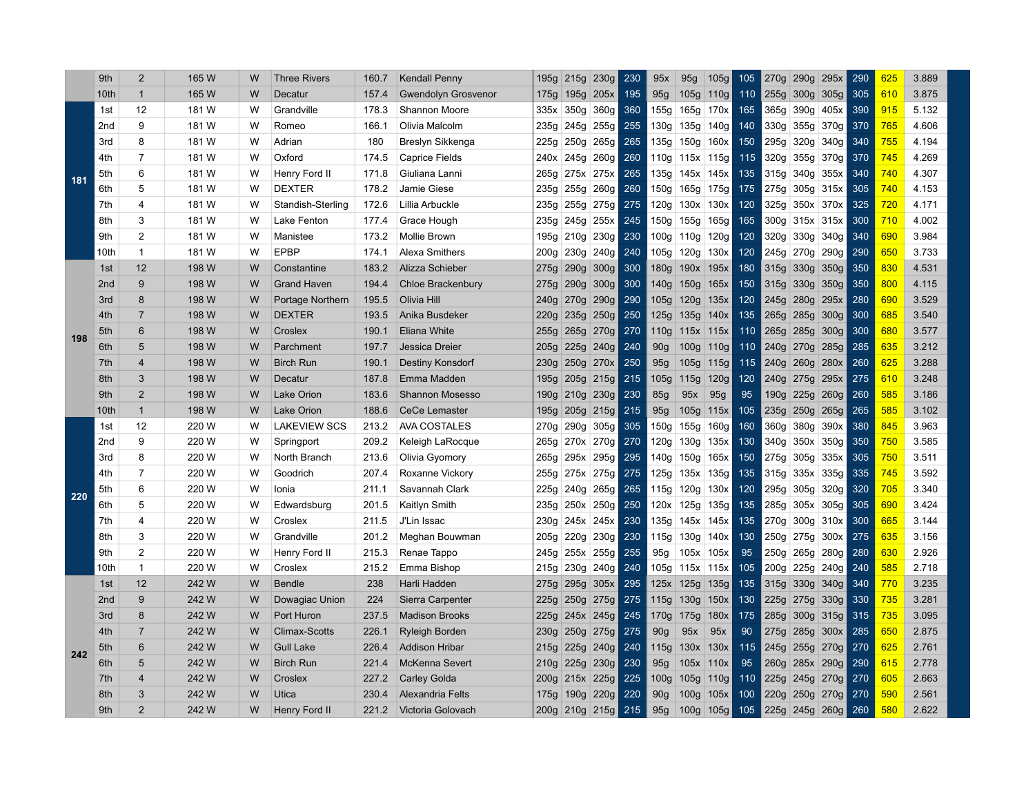|     | 9th             | $\overline{2}$          | 165 W | W | <b>Three Rivers</b>  | 160.7 | <b>Kendall Penny</b>       | 195g             | 215g      | 230g      | 230 | 95x              | 95g              | 105g             | 105 | 270g             | 290g      | 295x           | 290 | 625 | 3.889 |
|-----|-----------------|-------------------------|-------|---|----------------------|-------|----------------------------|------------------|-----------|-----------|-----|------------------|------------------|------------------|-----|------------------|-----------|----------------|-----|-----|-------|
|     | 10th            | $\mathbf{1}$            | 165 W | W | Decatur              | 157.4 | <b>Gwendolyn Grosvenor</b> |                  | 175g 195g | 205x      | 195 | 95g              | 105g 110g        |                  | 110 |                  |           | 255g 300g 305g | 305 | 610 | 3.875 |
|     | 1st             | 12                      | 181 W | W | Grandville           | 178.3 | Shannon Moore              | 335x             | 350g      | 360g      | 360 | 155g             | 165g 170x        |                  | 165 |                  |           | 365g 390g 405x | 390 | 915 | 5.132 |
|     | 2 <sub>nd</sub> | 9                       | 181 W | W | Romeo                | 166.1 | Olivia Malcolm             | 235g             | 245g      | 255g      | 255 | 130g             | 135g             | 140g             | 140 | 330g             | 355g      | 370g           | 370 | 765 | 4.606 |
|     | 3rd             | 8                       | 181 W | W | Adrian               | 180   | Breslyn Sikkenga           | 225g             | 250g      | 265g      | 265 | 135g             | 150g             | 160x             | 150 | 295g             | 320g      | 340g           | 340 | 755 | 4.194 |
|     | 4th             | $\overline{7}$          | 181 W | W | Oxford               | 174.5 | <b>Caprice Fields</b>      | 240x             | 245g      | 260g      | 260 | 110g             | 115x 115g        |                  | 115 | 320g             | 355g      | 370g           | 370 | 745 | 4.269 |
| 181 | 5th             | 6                       | 181 W | W | Henry Ford II        | 171.8 | Giuliana Lanni             | 265g             | 275x      | 275x      | 265 | 135g             | 145x             | 145x             | 135 | 315g             | 340g      | 355x           | 340 | 740 | 4.307 |
|     | 6th             | 5                       | 181 W | W | <b>DEXTER</b>        | 178.2 | Jamie Giese                | 235g             | 255g      | 260g      | 260 | 150g             | 165g             | 175g             | 175 | 275g             |           | 305g 315x      | 305 | 740 | 4.153 |
|     | 7th             | 4                       | 181 W | W | Standish-Sterling    | 172.6 | Lillia Arbuckle            | 235g             | 255g      | 275g      | 275 | 120g             | 130x 130x        |                  | 120 | 325g             |           | 350x 370x      | 325 | 720 | 4.171 |
|     | 8th             | 3                       | 181 W | W | Lake Fenton          | 177.4 | Grace Hough                | 235g             | 245g      | 255x      | 245 | 150g             | 155g             | 165g             | 165 |                  |           | 300g 315x 315x | 300 | 710 | 4.002 |
|     | 9th             | $\overline{2}$          | 181 W | W | Manistee             | 173.2 | Mollie Brown               |                  | 195g 210g | 230g      | 230 | 100g             | 110g             | 120g             | 120 |                  | 320g 330g | 340g           | 340 | 690 | 3.984 |
|     | 10th            | $\mathbf{1}$            | 181 W | W | <b>EPBP</b>          | 174.1 | Alexa Smithers             | 200g             | 230g      | 240g      | 240 | 105g             | 120g             | 130x             | 120 |                  |           | 245g 270g 290g | 290 | 650 | 3.733 |
|     | 1st             | 12                      | 198 W | W | Constantine          | 183.2 | Alizza Schieber            | 275g             | 290g      | 300g      | 300 | 180 <sub>g</sub> | 190x 195x        |                  | 180 | 315g             | 330g      | 350g           | 350 | 830 | 4.531 |
|     | 2 <sub>nd</sub> | 9                       | 198 W | W | <b>Grand Haven</b>   | 194.4 | <b>Chloe Brackenbury</b>   | 275g             | 290g      | 300g      | 300 | 140g             | 150g             | 165x             | 150 | 315g             |           | 330g 350g      | 350 | 800 | 4.115 |
|     | 3rd             | 8                       | 198 W | W | Portage Northern     | 195.5 | Olivia Hill                | 240g             | 270g      | 290g      | 290 | 105g             | 120g             | 135x             | 120 | 245g             | 280g      | 295x           | 280 | 690 | 3.529 |
| 198 | 4th             | $\overline{7}$          | 198 W | W | <b>DEXTER</b>        | 193.5 | Anika Busdeker             | 220g             | 235g      | 250g      | 250 | 125g             | 135g             | 140x             | 135 | 265g             | 285g      | 300g           | 300 | 685 | 3.540 |
|     | 5th             | 6                       | 198 W | W | Croslex              | 190.1 | Eliana White               | 255g             | 265g      | 270g      | 270 | 110g             | $115x$ 115x      |                  | 110 | 265g             | 285g      | 300g           | 300 | 680 | 3.577 |
|     | 6th             | 5                       | 198 W | W | Parchment            | 197.7 | Jessica Dreier             | 205g             | 225g      | 240g      | 240 | 90 <sub>g</sub>  | 100 <sub>g</sub> | 110 <sub>g</sub> | 110 | 240g             | 270g      | 285g           | 285 | 635 | 3.212 |
|     | 7th             | $\overline{\mathbf{4}}$ | 198 W | W | <b>Birch Run</b>     | 190.1 | Destiny Konsdorf           | 230g             | 250g      | 270x      | 250 | 95g              | 105g             | 115g             | 115 | 240g             |           | 260g 280x      | 260 | 625 | 3.288 |
|     | 8th             | $\mathfrak{S}$          | 198 W | W | Decatur              | 187.8 | Emma Madden                | 195g             |           | 205g 215g | 215 | 105g             | 115g             | 120g             | 120 |                  |           | 240g 275g 295x | 275 | 610 | 3.248 |
|     | 9th             | $\overline{c}$          | 198 W | W | <b>Lake Orion</b>    | 183.6 | <b>Shannon Mosesso</b>     | 190g             | 210g      | 230g      | 230 | 85g              | 95x              | 95g              | 95  | 190 <sub>g</sub> | 225g 260g |                | 260 | 585 | 3.186 |
|     | 10th            | $\mathbf{1}$            | 198 W | W | Lake Orion           | 188.6 | <b>CeCe Lemaster</b>       | 195g             | 205g      | 215g      | 215 | 95g              | 105g             | 115x             | 105 |                  |           | 235g 250g 265g | 265 | 585 | 3.102 |
|     | 1st             | 12                      | 220 W | W | <b>LAKEVIEW SCS</b>  | 213.2 | <b>AVA COSTALES</b>        |                  | 270g 290g | 305g      | 305 | 150g             | 155g             | 160g             | 160 |                  | 360g 380g | 390x           | 380 | 845 | 3.963 |
|     | 2 <sub>nd</sub> | 9                       | 220 W | W | Springport           | 209.2 | Keleigh LaRocque           | 265g             | 270x      | 270g      | 270 | 120g             | 130g             | 135x             | 130 | 340g             | 350x      | 350g           | 350 | 750 | 3.585 |
|     | 3rd             | 8                       | 220 W | W | North Branch         | 213.6 | Olivia Gyomory             | 265g             | 295x      | 295g      | 295 | 140g             | 150g             | 165x             | 150 | 275g             | 305g      | 335x           | 305 | 750 | 3.511 |
|     | 4th             | $\overline{7}$          | 220 W | W | Goodrich             | 207.4 | Roxanne Vickory            | 255g             | 275x      | 275g      | 275 | 125g             | 135x 135g        |                  | 135 |                  |           | 315g 335x 335g | 335 | 745 | 3.592 |
| 220 | 5th             | 6                       | 220 W | W | Ionia                | 211.1 | Savannah Clark             | 225g             | 240g      | 265g      | 265 | 115g             | 120g             | 130x             | 120 | 295g             | 305g      | 320g           | 320 | 705 | 3.340 |
|     | 6th             | 5                       | 220 W | W | Edwardsburg          | 201.5 | Kaitlyn Smith              | 235g             | 250x      | 250g      | 250 | 120x             | 125g             | 135g             | 135 | 285g             |           | 305x 305g      | 305 | 690 | 3.424 |
|     | 7th             | 4                       | 220 W | W | Croslex              | 211.5 | J'Lin Issac                | 230g             | 245x      | 245x      | 230 | 135g             | 145x 145x        |                  | 135 | 270g             | 300g      | 310x           | 300 | 665 | 3.144 |
|     | 8th             | 3                       | 220 W | W | Grandville           | 201.2 | Meghan Bouwman             | 205g             | 220g      | 230g      | 230 | 115g             | 130g             | 140x             | 130 | 250g             | 275g      | 300x           | 275 | 635 | 3.156 |
|     | 9th             | $\overline{2}$          | 220 W | W | Henry Ford II        | 215.3 | Renae Tappo                | 245g             | 255x      | 255g      | 255 | 95g              | 105x 105x        |                  | 95  |                  |           | 250g 265g 280g | 280 | 630 | 2.926 |
|     | 10th            | $\mathbf{1}$            | 220 W | W | Croslex              | 215.2 | Emma Bishop                | 215g             | 230g      | 240g      | 240 | 105g             | 115x 115x        |                  | 105 | 200g             |           | 225g 240g      | 240 | 585 | 2.718 |
|     | 1st             | 12                      | 242 W | W | Bendle               | 238   | Harli Hadden               | 275g             | 295g      | 305x      | 295 | 125x             | 125g             | 135g             | 135 | 315g             | 330g      | 340g           | 340 | 770 | 3.235 |
|     | 2 <sub>nd</sub> | 9                       | 242 W | W | Dowagiac Union       | 224   | Sierra Carpenter           | 225g             | 250g      | 275g      | 275 | 115g             | 130g             | 150x             | 130 |                  | 225g 275g | 330g           | 330 | 735 | 3.281 |
|     | 3rd             | 8                       | 242 W | W | Port Huron           | 237.5 | <b>Madison Brooks</b>      | 225g             | 245x      | 245g      | 245 | 170g             | 175g             | 180x             | 175 | 285g             | 300g      | 315g           | 315 | 735 | 3.095 |
|     | 4th             | $\overline{7}$          | 242 W | W | <b>Climax-Scotts</b> | 226.1 | Ryleigh Borden             | 230g             | 250g      | 275g      | 275 | 90 <sub>g</sub>  | 95x              | 95x              | 90  | 275g             |           | 285g 300x      | 285 | 650 | 2.875 |
| 242 | 5th             | 6                       | 242 W | W | <b>Gull Lake</b>     | 226.4 | <b>Addison Hribar</b>      | 215g             | 225g      | 240g      | 240 | 115g             | 130x             | 130x             | 115 | 245g             |           | 255g 270g      | 270 | 625 | 2.761 |
|     | 6th             | 5                       | 242 W | W | <b>Birch Run</b>     | 221.4 | McKenna Severt             | 210 <sub>g</sub> | 225g      | 230g      | 230 | 95g              | $105x$ 110x      |                  | 95  | 260 <sub>g</sub> | 285x 290g |                | 290 | 615 | 2.778 |
|     | 7 <sup>th</sup> | 4                       | 242 W | W | Croslex              | 227.2 | <b>Carley Golda</b>        | 200g             | 215x      | 225g      | 225 | 100g             | 105g             | 110g             | 110 | 225g             |           | 245g 270g      | 270 | 605 | 2.663 |
|     | 8th             | 3                       | 242 W | W | Utica                | 230.4 | Alexandria Felts           |                  | 175g 190g | 220g      | 220 | 90 <sub>g</sub>  | 100 <sub>g</sub> | 105x             | 100 | 220g             | 250g      | 270g           | 270 | 590 | 2.561 |
|     | 9th             | $\overline{2}$          | 242 W | W | Henry Ford II        | 221.2 | Victoria Golovach          | 200g             | 210g      | 215g      | 215 | 95g              | 100q             | 105g             | 105 | 225q             | 245g 260g |                | 260 | 580 | 2.622 |